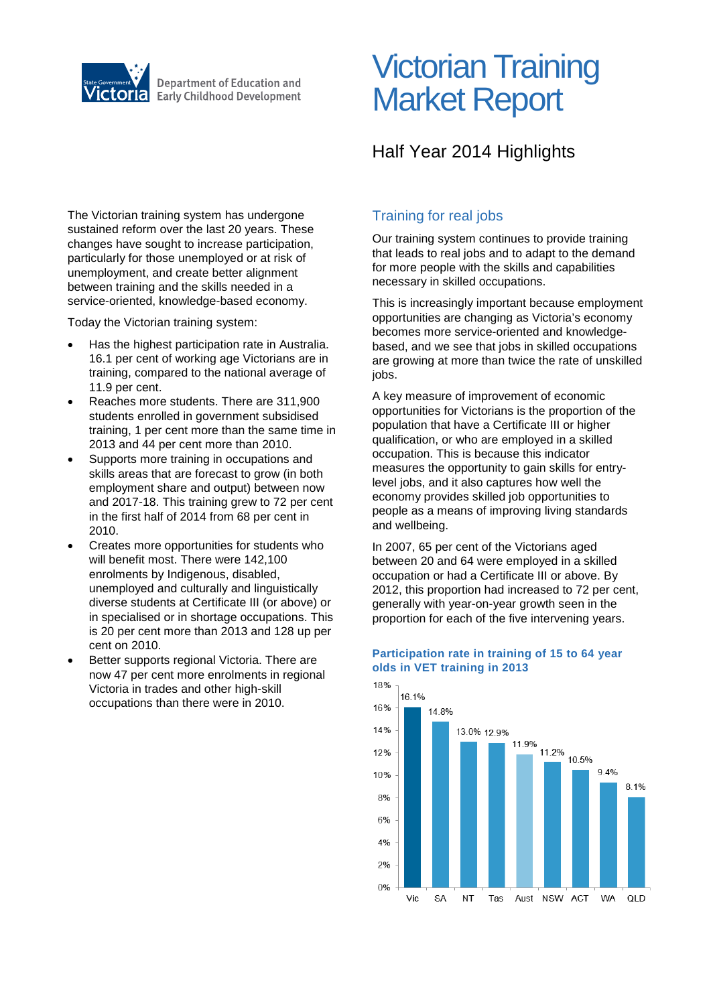

# Victorian Training Market Report

## Half Year 2014 Highlights

The Victorian training system has undergone sustained reform over the last 20 years. These changes have sought to increase participation, particularly for those unemployed or at risk of unemployment, and create better alignment between training and the skills needed in a service-oriented, knowledge-based economy.

Today the Victorian training system:

- Has the highest participation rate in Australia. 16.1 per cent of working age Victorians are in training, compared to the national average of 11.9 per cent.
- Reaches more students. There are 311,900 students enrolled in government subsidised training, 1 per cent more than the same time in 2013 and 44 per cent more than 2010.
- Supports more training in occupations and skills areas that are forecast to grow (in both employment share and output) between now and 2017-18. This training grew to 72 per cent in the first half of 2014 from 68 per cent in 2010.
- Creates more opportunities for students who will benefit most. There were 142,100 enrolments by Indigenous, disabled, unemployed and culturally and linguistically diverse students at Certificate III (or above) or in specialised or in shortage occupations. This is 20 per cent more than 2013 and 128 up per cent on 2010.
- Better supports regional Victoria. There are now 47 per cent more enrolments in regional Victoria in trades and other high-skill occupations than there were in 2010.

## Training for real jobs

Our training system continues to provide training that leads to real jobs and to adapt to the demand for more people with the skills and capabilities necessary in skilled occupations.

This is increasingly important because employment opportunities are changing as Victoria's economy becomes more service-oriented and knowledgebased, and we see that jobs in skilled occupations are growing at more than twice the rate of unskilled jobs.

A key measure of improvement of economic opportunities for Victorians is the proportion of the population that have a Certificate III or higher qualification, or who are employed in a skilled occupation. This is because this indicator measures the opportunity to gain skills for entrylevel jobs, and it also captures how well the economy provides skilled job opportunities to people as a means of improving living standards and wellbeing.

In 2007, 65 per cent of the Victorians aged between 20 and 64 were employed in a skilled occupation or had a Certificate III or above. By 2012, this proportion had increased to 72 per cent, generally with year-on-year growth seen in the proportion for each of the five intervening years.



#### **Participation rate in training of 15 to 64 year olds in VET training in 2013**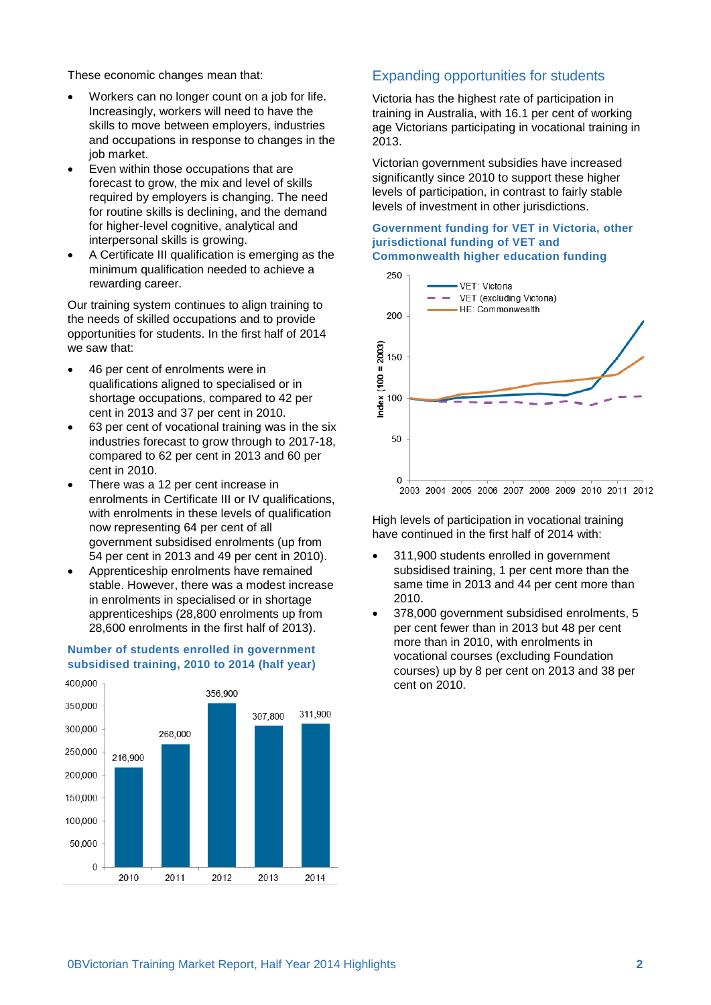These economic changes mean that:

- Workers can no longer count on a job for life. Increasingly, workers will need to have the skills to move between employers, industries and occupations in response to changes in the job market.
- Even within those occupations that are forecast to grow, the mix and level of skills required by employers is changing. The need for routine skills is declining, and the demand for higher-level cognitive, analytical and interpersonal skills is growing.
- A Certificate III qualification is emerging as the minimum qualification needed to achieve a rewarding career.

Our training system continues to align training to the needs of skilled occupations and to provide opportunities for students. In the first half of 2014 we saw that:

- 46 per cent of enrolments were in qualifications aligned to specialised or in shortage occupations, compared to 42 per cent in 2013 and 37 per cent in 2010.
- 63 per cent of vocational training was in the six industries forecast to grow through to 2017-18, compared to 62 per cent in 2013 and 60 per cent in 2010.
- There was a 12 per cent increase in enrolments in Certificate III or IV qualifications, with enrolments in these levels of qualification now representing 64 per cent of all government subsidised enrolments (up from 54 per cent in 2013 and 49 per cent in 2010).
- stable. However, there was a modest increase in enrolments in specialised or in shortage apprenticeships (28,800 enrolments up from 28,600 enrolments in the first half of 2013).

#### 400,000 356,900 350,000 311,900 307 800 300,000 268,000 250,000 216,900 200,000 150,000 100,000 50,000

 $\Omega$ 

2010

2011

### Expanding opportunities for students

Victoria has the highest rate of participation in training in Australia, with 16.1 per cent of working age Victorians participating in vocational training in 2013.

Victorian government subsidies have increased significantly since 2010 to support these higher levels of participation, in contrast to fairly stable levels of investment in other jurisdictions.

#### **Government funding for VET in Victoria, other jurisdictional funding of VET and Commonwealth higher education funding**



High levels of participation in vocational training have continued in the first half of 2014 with:

- 311,900 students enrolled in government subsidised training, 1 per cent more than the same time in 2013 and 44 per cent more than 2010.
- 378,000 government subsidised enrolments, 5 per cent fewer than in 2013 but 48 per cent more than in 2010, with enrolments in vocational courses (excluding Foundation courses) up by 8 per cent on 2013 and 38 per cent on 2010.



2012

2013

2014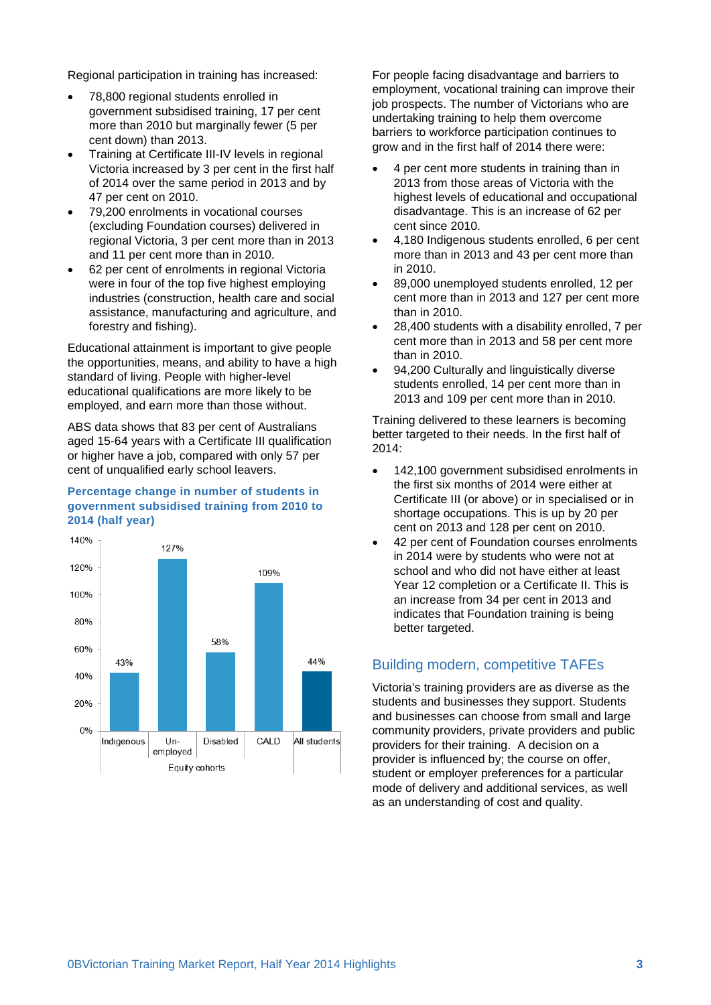Regional participation in training has increased:

- 78,800 regional students enrolled in government subsidised training, 17 per cent more than 2010 but marginally fewer (5 per cent down) than 2013.
- Training at Certificate III-IV levels in regional Victoria increased by 3 per cent in the first half of 2014 over the same period in 2013 and by 47 per cent on 2010.
- 79,200 enrolments in vocational courses (excluding Foundation courses) delivered in regional Victoria, 3 per cent more than in 2013 and 11 per cent more than in 2010.
- 62 per cent of enrolments in regional Victoria were in four of the top five highest employing industries (construction, health care and social assistance, manufacturing and agriculture, and forestry and fishing).

Educational attainment is important to give people the opportunities, means, and ability to have a high standard of living. People with higher-level educational qualifications are more likely to be employed, and earn more than those without.

ABS data shows that 83 per cent of Australians aged 15-64 years with a Certificate III qualification or higher have a job, compared with only 57 per cent of unqualified early school leavers.

#### **Percentage change in number of students in government subsidised training from 2010 to 2014 (half year)**



For people facing disadvantage and barriers to employment, vocational training can improve their job prospects. The number of Victorians who are undertaking training to help them overcome barriers to workforce participation continues to grow and in the first half of 2014 there were:

- 4 per cent more students in training than in 2013 from those areas of Victoria with the highest levels of educational and occupational disadvantage. This is an increase of 62 per cent since 2010.
- 4,180 Indigenous students enrolled, 6 per cent more than in 2013 and 43 per cent more than in 2010.
- 89,000 unemployed students enrolled, 12 per cent more than in 2013 and 127 per cent more than in 2010.
- 28,400 students with a disability enrolled, 7 per cent more than in 2013 and 58 per cent more than in 2010.
- 94,200 Culturally and linguistically diverse students enrolled, 14 per cent more than in 2013 and 109 per cent more than in 2010.

Training delivered to these learners is becoming better targeted to their needs. In the first half of 2014:

- 142,100 government subsidised enrolments in the first six months of 2014 were either at Certificate III (or above) or in specialised or in shortage occupations. This is up by 20 per cent on 2013 and 128 per cent on 2010.
- 42 per cent of Foundation courses enrolments in 2014 were by students who were not at school and who did not have either at least Year 12 completion or a Certificate II. This is an increase from 34 per cent in 2013 and indicates that Foundation training is being better targeted.

## Building modern, competitive TAFEs

Victoria's training providers are as diverse as the students and businesses they support. Students and businesses can choose from small and large community providers, private providers and public providers for their training. A decision on a provider is influenced by; the course on offer, student or employer preferences for a particular mode of delivery and additional services, as well as an understanding of cost and quality.